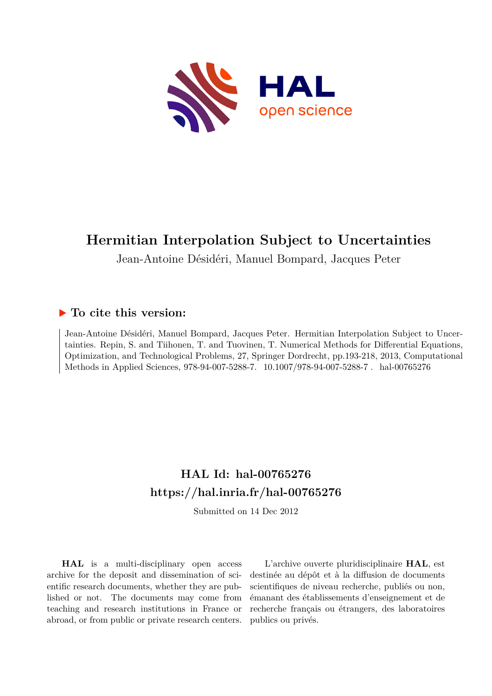

Jean-Antoine Désidéri, Manuel Bompard, Jacques Peter

# **To cite this version:**

Jean-Antoine Désidéri, Manuel Bompard, Jacques Peter. Hermitian Interpolation Subject to Uncertainties. Repin, S. and Tiihonen, T. and Tuovinen, T. Numerical Methods for Differential Equations, Optimization, and Technological Problems, 27, Springer Dordrecht, pp.193-218, 2013, Computational Methods in Applied Sciences, 978-94-007-5288-7. 10.1007/978-94-007-5288-7. hal-00765276

# **HAL Id: hal-00765276 <https://hal.inria.fr/hal-00765276>**

Submitted on 14 Dec 2012

**HAL** is a multi-disciplinary open access archive for the deposit and dissemination of scientific research documents, whether they are published or not. The documents may come from teaching and research institutions in France or abroad, or from public or private research centers.

L'archive ouverte pluridisciplinaire **HAL**, est destinée au dépôt et à la diffusion de documents scientifiques de niveau recherche, publiés ou non, émanant des établissements d'enseignement et de recherche français ou étrangers, des laboratoires publics ou privés.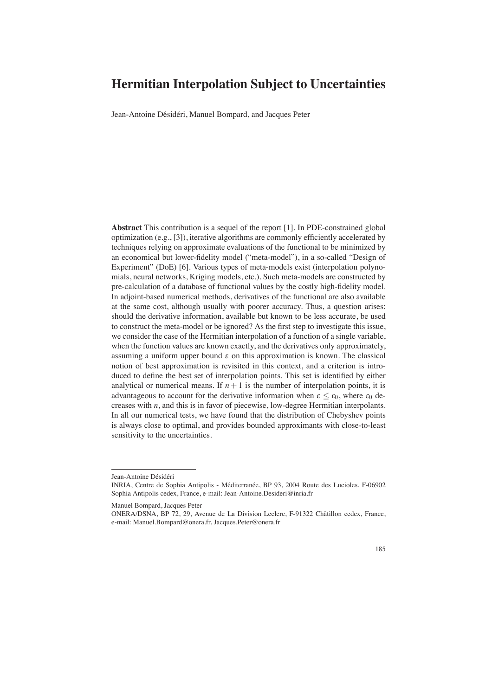Jean-Antoine Désidéri, Manuel Bompard, and Jacques Peter

**Abstract** This contribution is a sequel of the report [1]. In PDE-constrained global optimization (e.g., [3]), iterative algorithms are commonly efficiently accelerated by techniques relying on approximate evaluations of the functional to be minimized by an economical but lower-fidelity model ("meta-model"), in a so-called "Design of Experiment" (DoE) [6]. Various types of meta-models exist (interpolation polynomials, neural networks, Kriging models, etc.). Such meta-models are constructed by pre-calculation of a database of functional values by the costly high-fidelity model. In adjoint-based numerical methods, derivatives of the functional are also available at the same cost, although usually with poorer accuracy. Thus, a question arises: should the derivative information, available but known to be less accurate, be used to construct the meta-model or be ignored? As the first step to investigate this issue, we consider the case of the Hermitian interpolation of a function of a single variable, when the function values are known exactly, and the derivatives only approximately, assuming a uniform upper bound  $\varepsilon$  on this approximation is known. The classical notion of best approximation is revisited in this context, and a criterion is introduced to define the best set of interpolation points. This set is identified by either analytical or numerical means. If  $n + 1$  is the number of interpolation points, it is advantageous to account for the derivative information when  $\varepsilon < \varepsilon_0$ , where  $\varepsilon_0$  decreases with *n*, and this is in favor of piecewise, low-degree Hermitian interpolants. In all our numerical tests, we have found that the distribution of Chebyshev points is always close to optimal, and provides bounded approximants with close-to-least sensitivity to the uncertainties.

ONERA/DSNA, BP 72, 29, Avenue de La Division Leclerc, F-91322 Chatillon cedex, France, ˆ e-mail: Manuel.Bompard@onera.fr, Jacques.Peter@onera.fr



Jean-Antoine Désidéri

INRIA, Centre de Sophia Antipolis - Méditerranée, BP 93, 2004 Route des Lucioles, F-06902 Sophia Antipolis cedex, France, e-mail: Jean-Antoine.Desideri@inria.fr

Manuel Bompard, Jacques Peter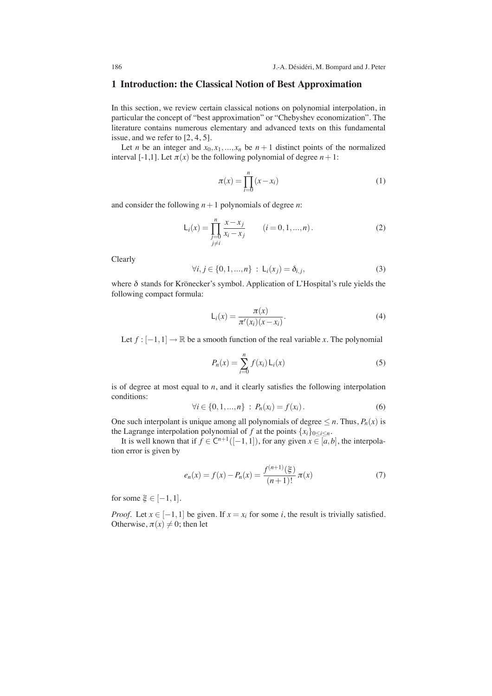### **1 Introduction: the Classical Notion of Best Approximation**

In this section, we review certain classical notions on polynomial interpolation, in particular the concept of "best approximation" or "Chebyshev economization". The literature contains numerous elementary and advanced texts on this fundamental issue, and we refer to [2, 4, 5].

Let *n* be an integer and  $x_0, x_1, \ldots, x_n$  be  $n + 1$  distinct points of the normalized interval [-1,1]. Let  $\pi(x)$  be the following polynomial of degree  $n+1$ :

$$
\pi(x) = \prod_{i=0}^{n} (x - x_i)
$$
\n(1)

and consider the following *n*+1 polynomials of degree *n*:

$$
L_i(x) = \prod_{\substack{j=0 \ j \neq i}}^n \frac{x - x_j}{x_i - x_j} \qquad (i = 0, 1, ..., n).
$$
 (2)

Clearly

$$
\forall i, j \in \{0, 1, ..., n\} : \mathsf{L}_i(x_j) = \delta_{i,j}, \tag{3}
$$

where  $\delta$  stands for Krönecker's symbol. Application of L'Hospital's rule yields the following compact formula:

$$
\mathsf{L}_i(x) = \frac{\pi(x)}{\pi'(x_i)(x - x_i)}.\tag{4}
$$

Let  $f : [-1,1] \to \mathbb{R}$  be a smooth function of the real variable *x*. The polynomial

$$
P_n(x) = \sum_{i=0}^{n} f(x_i) L_i(x)
$$
 (5)

is of degree at most equal to *n*, and it clearly satisfies the following interpolation conditions:

$$
\forall i \in \{0, 1, ..., n\} : P_n(x_i) = f(x_i). \tag{6}
$$

One such interpolant is unique among all polynomials of degree  $\leq n$ . Thus,  $P_n(x)$  is the Lagrange interpolation polynomial of *f* at the points  $\{x_i\}_{0 \le i \le n}$ .

It is well known that if  $f \in C^{n+1}([-1,1])$ , for any given  $x \in [a,b]$ , the interpolation error is given by

$$
e_n(x) = f(x) - P_n(x) = \frac{f^{(n+1)}(\xi)}{(n+1)!} \pi(x)
$$
 (7)

for some  $\xi \in [-1,1]$ .

*Proof.* Let  $x \in [-1,1]$  be given. If  $x = x_i$  for some *i*, the result is trivially satisfied. Otherwise,  $\pi(x) \neq 0$ ; then let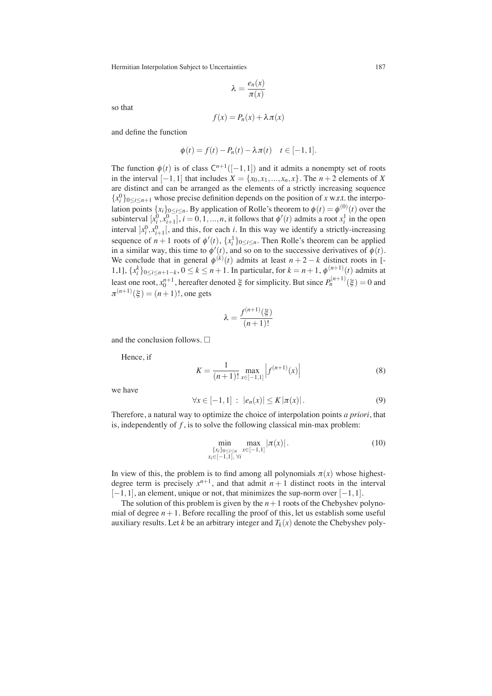$$
\lambda = \frac{e_n(x)}{\pi(x)}
$$

so that

$$
f(x) = P_n(x) + \lambda \pi(x)
$$

and define the function

$$
\phi(t) = f(t) - P_n(t) - \lambda \pi(t) \quad t \in [-1, 1].
$$

The function  $\phi(t)$  is of class  $C^{n+1}([-1,1])$  and it admits a nonempty set of roots in the interval [−1,1] that includes *X* = {*x*0,*x*1,...,*xn*,*x*}. The *n* + 2 elements of *X* are distinct and can be arranged as the elements of a strictly increasing sequence  ${x_i^0}_{0 \le i \le n+1}$  whose precise definition depends on the position of *x* w.r.t. the interpolation points  $\{x_i\}_{0 \le i \le n}$ . By application of Rolle's theorem to  $\phi(t) = \phi^{(0)}(t)$  over the subinterval  $[x_i^0, x_{i+1}^0], i = 0, 1, ..., n$ , it follows that  $\phi'(t)$  admits a root  $x_i^1$  in the open interval  $x_i^0, x_{i+1}^0$ , and this, for each *i*. In this way we identify a strictly-increasing sequence of  $n+1$  roots of  $\phi'(t)$ ,  $\{x_i^1\}_{0 \le i \le n}$ . Then Rolle's theorem can be applied in a similar way, this time to  $\phi'(t)$ , and so on to the successive derivatives of  $\phi(t)$ . We conclude that in general  $\phi^{(k)}(t)$  admits at least  $n+2-k$  distinct roots in [-1,1],  ${x_i^k}$ <sub>0≤*i*≤*n*+1−*k*</sub>, 0 ≤ *k* ≤ *n* + 1. In particular, for *k* = *n* + 1,  $\phi^{(n+1)}(t)$  admits at least one root,  $x_0^{n+1}$ , hereafter denoted  $\xi$  for simplicity. But since  $P_n^{(n+1)}(\xi) = 0$  and  $\pi^{(n+1)}(\xi) = (n+1)!$ , one gets

$$
\lambda = \frac{f^{(n+1)}(\xi)}{(n+1)!}
$$

and the conclusion follows.  $\Box$ 

Hence, if

$$
K = \frac{1}{(n+1)!} \max_{x \in [-1,1]} \left| f^{(n+1)}(x) \right| \tag{8}
$$

we have

$$
\forall x \in [-1,1] : |e_n(x)| \le K |\pi(x)|. \tag{9}
$$

Therefore, a natural way to optimize the choice of interpolation points *a priori*, that is, independently of *f* , is to solve the following classical min-max problem:

$$
\min_{\{x_i\}_{0 \le i \le n} \max_{x \in [-1,1]} |\pi(x)|. \tag{10}
$$
\n
$$
x_i \in [-1,1], \forall i
$$

In view of this, the problem is to find among all polynomials  $\pi(x)$  whose highestdegree term is precisely  $x^{n+1}$ , and that admit  $n+1$  distinct roots in the interval  $[-1,1]$ , an element, unique or not, that minimizes the sup-norm over  $[-1,1]$ .

The solution of this problem is given by the  $n+1$  roots of the Chebyshev polynomial of degree  $n+1$ . Before recalling the proof of this, let us establish some useful auxiliary results. Let *k* be an arbitrary integer and  $T_k(x)$  denote the Chebyshev poly-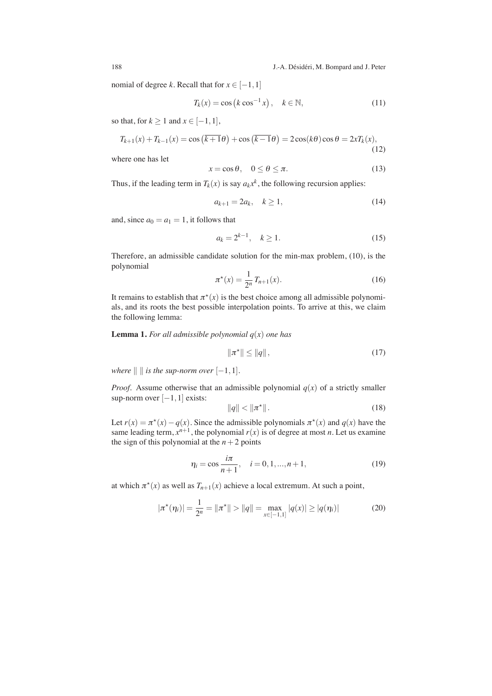nomial of degree *k*. Recall that for  $x \in [-1,1]$ 

$$
T_k(x) = \cos\left(k\cos^{-1}x\right), \quad k \in \mathbb{N},\tag{11}
$$

so that, for  $k \ge 1$  and  $x \in [-1,1]$ ,

$$
T_{k+1}(x) + T_{k-1}(x) = \cos\left(\overline{k+1}\theta\right) + \cos\left(\overline{k-1}\theta\right) = 2\cos(k\theta)\cos\theta = 2xT_k(x),\tag{12}
$$

where one has let

$$
x = \cos \theta, \quad 0 \le \theta \le \pi. \tag{13}
$$

Thus, if the leading term in  $T_k(x)$  is say  $a_kx^k$ , the following recursion applies:

$$
a_{k+1} = 2a_k, \quad k \ge 1,
$$
\n(14)

and, since  $a_0 = a_1 = 1$ , it follows that

$$
a_k = 2^{k-1}, \quad k \ge 1.
$$
 (15)

Therefore, an admissible candidate solution for the min-max problem, (10), is the polynomial

$$
\pi^*(x) = \frac{1}{2^n} T_{n+1}(x).
$$
 (16)

It remains to establish that  $\pi^*(x)$  is the best choice among all admissible polynomials, and its roots the best possible interpolation points. To arrive at this, we claim the following lemma:

**Lemma 1.** For all admissible polynomial  $q(x)$  one has

$$
\|\pi^{\star}\| \le \|q\|,
$$
\n<sup>(17)</sup>

*where*  $\|$   $\|$  *is the sup-norm over*  $[-1,1]$ *.* 

*Proof.* Assume otherwise that an admissible polynomial  $q(x)$  of a strictly smaller sup-norm over [-1,1] exists:

$$
\|q\| < \|\pi^{\star}\|.\tag{18}
$$

Let  $r(x) = \pi^*(x) - q(x)$ . Since the admissible polynomials  $\pi^*(x)$  and  $q(x)$  have the same leading term,  $x^{n+1}$ , the polynomial  $r(x)$  is of degree at most *n*. Let us examine the sign of this polynomial at the  $n+2$  points

$$
\eta_i = \cos \frac{i\pi}{n+1}, \quad i = 0, 1, ..., n+1,
$$
\n(19)

at which  $\pi^*(x)$  as well as  $T_{n+1}(x)$  achieve a local extremum. At such a point,

$$
|\pi^*(\eta_i)| = \frac{1}{2^n} = ||\pi^*|| > ||q|| = \max_{x \in [-1,1]} |q(x)| \ge |q(\eta_i)| \tag{20}
$$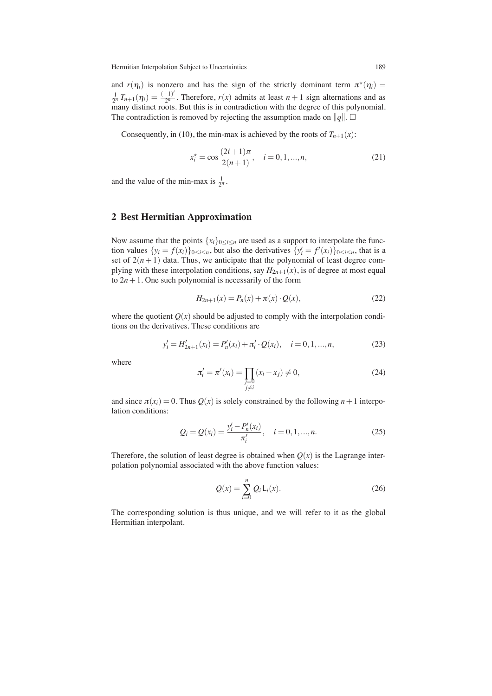and  $r(\eta_i)$  is nonzero and has the sign of the strictly dominant term  $\pi^*(\eta_i)$  $\frac{1}{2^n}T_{n+1}(\eta_i)=\frac{(-1)^i}{2^n}$  $\frac{1}{2^n}$ . Therefore,  $r(x)$  admits at least  $n+1$  sign alternations and as many distinct roots. But this is in contradiction with the degree of this polynomial. The contradiction is removed by rejecting the assumption made on  $||q||$ .  $\Box$ 

Consequently, in (10), the min-max is achieved by the roots of  $T_{n+1}(x)$ :

$$
x_i^* = \cos \frac{(2i+1)\pi}{2(n+1)}, \quad i = 0, 1, ..., n,
$$
 (21)

and the value of the min-max is  $\frac{1}{2^n}$ .

# **2 Best Hermitian Approximation**

Now assume that the points  $\{x_i\}_{0 \le i \le n}$  are used as a support to interpolate the function values  $\{y_i = f(x_i)\}_{0 \le i \le n}$ , but also the derivatives  $\{y'_i = f'(x_i)\}_{0 \le i \le n}$ , that is a set of  $2(n+1)$  data. Thus, we anticipate that the polynomial of least degree complying with these interpolation conditions, say  $H_{2n+1}(x)$ , is of degree at most equal to  $2n+1$ . One such polynomial is necessarily of the form

$$
H_{2n+1}(x) = P_n(x) + \pi(x) \cdot Q(x), \tag{22}
$$

where the quotient  $Q(x)$  should be adjusted to comply with the interpolation conditions on the derivatives. These conditions are

$$
y'_{i} = H'_{2n+1}(x_{i}) = P'_{n}(x_{i}) + \pi'_{i} \cdot Q(x_{i}), \quad i = 0, 1, ..., n,
$$
 (23)

where

$$
\pi'_{i} = \pi'(x_{i}) = \prod_{\substack{j=0 \ j \neq i}} (x_{i} - x_{j}) \neq 0,
$$
\n(24)

and since  $\pi(x_i) = 0$ . Thus  $Q(x)$  is solely constrained by the following  $n+1$  interpolation conditions:

$$
Q_i = Q(x_i) = \frac{y_i' - P_n'(x_i)}{\pi_i'}, \quad i = 0, 1, ..., n.
$$
 (25)

Therefore, the solution of least degree is obtained when  $Q(x)$  is the Lagrange interpolation polynomial associated with the above function values:

$$
Q(x) = \sum_{i=0}^{n} Q_i L_i(x).
$$
 (26)

The corresponding solution is thus unique, and we will refer to it as the global Hermitian interpolant.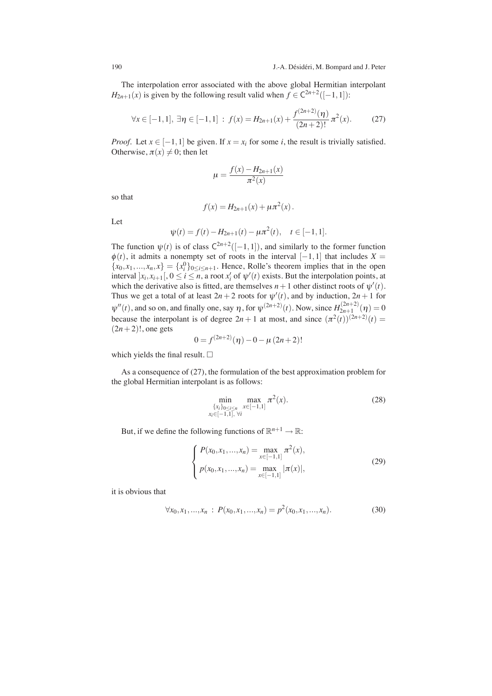The interpolation error associated with the above global Hermitian interpolant *H*<sub>2*n*+1</sub>(*x*) is given by the following result valid when  $f \in C^{2n+2}([-1,1])$ :

$$
\forall x \in [-1, 1], \exists \eta \in [-1, 1] : f(x) = H_{2n+1}(x) + \frac{f^{(2n+2)}(\eta)}{(2n+2)!} \pi^2(x). \tag{27}
$$

*Proof.* Let  $x \in [-1,1]$  be given. If  $x = x_i$  for some *i*, the result is trivially satisfied. Otherwise,  $\pi(x) \neq 0$ ; then let

$$
\mu = \frac{f(x) - H_{2n+1}(x)}{\pi^2(x)}
$$

so that

$$
f(x) = H_{2n+1}(x) + \mu \pi^2(x).
$$

Let

$$
\psi(t) = f(t) - H_{2n+1}(t) - \mu \pi^2(t), \quad t \in [-1, 1].
$$

The function  $\psi(t)$  is of class  $C^{2n+2}([-1,1])$ , and similarly to the former function  $\phi(t)$ , it admits a nonempty set of roots in the interval [−1, 1] that includes *X* =  ${x_0, x_1, ..., x_n, x} = {x_i^0}_{0 \le i \le n+1}$ . Hence, Rolle's theorem implies that in the open interval  $x_i, x_{i+1}$ ,  $0 \le i \le n$ , a root  $x'_i$  of  $\psi'(t)$  exists. But the interpolation points, at which the derivative also is fitted, are themselves  $n+1$  other distinct roots of  $\psi'(t)$ . Thus we get a total of at least  $2n + 2$  roots for  $\psi'(t)$ , and by induction,  $2n + 1$  for  $\psi''(t)$ , and so on, and finally one, say  $\eta$ , for  $\psi^{(2n+2)}(t)$ . Now, since  $H_{2n+1}^{(2n+2)}$  $\chi_{2n+1}^{(2n+2)}(\eta)=0$ because the interpolant is of degree  $2n + 1$  at most, and since  $(\pi^2(t))^{(2n+2)}(t) =$  $(2n+2)!$ , one gets

$$
0 = f^{(2n+2)}(\eta) - 0 - \mu (2n+2)!
$$

which yields the final result.  $\Box$ 

As a consequence of (27), the formulation of the best approximation problem for the global Hermitian interpolant is as follows:

$$
\min_{\substack{\{x_i\}_{0 \le i \le n} \\ x_i \in [-1,1], \ \forall i}} \max_{x \in [-1,1]} \pi^2(x). \tag{28}
$$

But, if we define the following functions of  $\mathbb{R}^{n+1} \to \mathbb{R}$ :

$$
\begin{cases}\nP(x_0, x_1, \dots, x_n) = \max_{x \in [-1, 1]} \pi^2(x), \\
p(x_0, x_1, \dots, x_n) = \max_{x \in [-1, 1]} |\pi(x)|,\n\end{cases}
$$
\n(29)

it is obvious that

$$
\forall x_0, x_1, \dots, x_n : P(x_0, x_1, \dots, x_n) = p^2(x_0, x_1, \dots, x_n).
$$
 (30)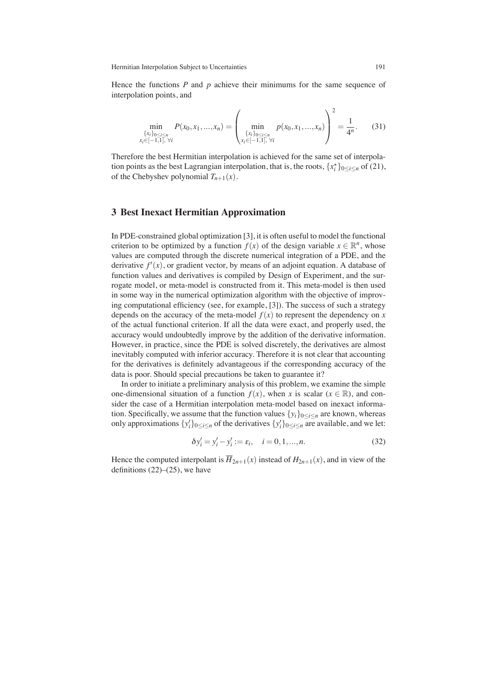Hence the functions *P* and *p* achieve their minimums for the same sequence of interpolation points, and

$$
\min_{\{x_i\}_{0 \le i \le n} \atop x_i \in [-1,1], \forall i} P(x_0, x_1, \dots, x_n) = \left( \min_{\{x_i\}_{0 \le i \le n} \atop x_i \in [-1,1], \forall i} p(x_0, x_1, \dots, x_n) \right)^2 = \frac{1}{4^n}.
$$
 (31)

Therefore the best Hermitian interpolation is achieved for the same set of interpolation points as the best Lagrangian interpolation, that is, the roots,  $\{x_i^*$  $\binom{x}{i}$ <sup>0</sup>
<sub>2</sub>i
<sub>2</sub><sup>n</sup></sub> of (21), of the Chebyshev polynomial  $T_{n+1}(x)$ .

## **3 Best Inexact Hermitian Approximation**

In PDE-constrained global optimization [3], it is often useful to model the functional criterion to be optimized by a function  $f(x)$  of the design variable  $x \in \mathbb{R}^n$ , whose values are computed through the discrete numerical integration of a PDE, and the derivative *f* ′ (*x*), or gradient vector, by means of an adjoint equation. A database of function values and derivatives is compiled by Design of Experiment, and the surrogate model, or meta-model is constructed from it. This meta-model is then used in some way in the numerical optimization algorithm with the objective of improving computational efficiency (see, for example, [3]). The success of such a strategy depends on the accuracy of the meta-model  $f(x)$  to represent the dependency on *x* of the actual functional criterion. If all the data were exact, and properly used, the accuracy would undoubtedly improve by the addition of the derivative information. However, in practice, since the PDE is solved discretely, the derivatives are almost inevitably computed with inferior accuracy. Therefore it is not clear that accounting for the derivatives is definitely advantageous if the corresponding accuracy of the data is poor. Should special precautions be taken to guarantee it?

In order to initiate a preliminary analysis of this problem, we examine the simple one-dimensional situation of a function  $f(x)$ , when *x* is scalar ( $x \in \mathbb{R}$ ), and consider the case of a Hermitian interpolation meta-model based on inexact information. Specifically, we assume that the function values  $\{y_i\}_{0 \le i \le n}$  are known, whereas only approximations  $\{y_i'\}_{0 \le i \le n}$  of the derivatives  $\{y_i'\}_{0 \le i \le n}$  are available, and we let:

$$
\delta y_i' = y_i' - y_i' := \varepsilon_i, \quad i = 0, 1, ..., n. \tag{32}
$$

Hence the computed interpolant is  $\overline{H}_{2n+1}(x)$  instead of  $H_{2n+1}(x)$ , and in view of the definitions  $(22)$ – $(25)$ , we have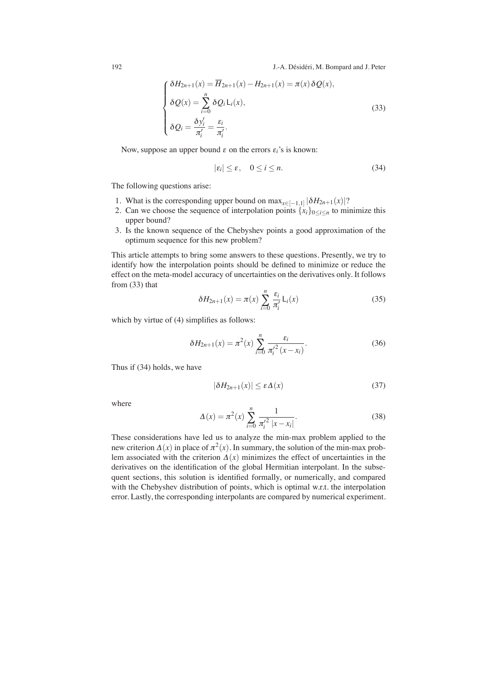$$
\begin{cases}\n\delta H_{2n+1}(x) = \overline{H}_{2n+1}(x) - H_{2n+1}(x) = \pi(x) \, \delta Q(x), \\
\delta Q(x) = \sum_{i=0}^{n} \delta Q_i L_i(x), \\
\delta Q_i = \frac{\delta y_i'}{\pi_i'} = \frac{\varepsilon_i}{\pi_i'}.\n\end{cases} \tag{33}
$$

Now, suppose an upper bound  $\varepsilon$  on the errors  $\varepsilon_i$ 's is known:

$$
|\varepsilon_i| \le \varepsilon, \quad 0 \le i \le n. \tag{34}
$$

The following questions arise:

- 1. What is the corresponding upper bound on  $\max_{x \in [-1,1]} |\delta H_{2n+1}(x)|$ ?
- 2. Can we choose the sequence of interpolation points  $\{x_i\}_{0 \le i \le n}$  to minimize this upper bound?
- 3. Is the known sequence of the Chebyshev points a good approximation of the optimum sequence for this new problem?

This article attempts to bring some answers to these questions. Presently, we try to identify how the interpolation points should be defined to minimize or reduce the effect on the meta-model accuracy of uncertainties on the derivatives only. It follows from (33) that

$$
\delta H_{2n+1}(x) = \pi(x) \sum_{i=0}^{n} \frac{\varepsilon_i}{\pi'_i} \mathsf{L}_i(x) \tag{35}
$$

which by virtue of (4) simplifies as follows:

$$
\delta H_{2n+1}(x) = \pi^2(x) \sum_{i=0}^{n} \frac{\varepsilon_i}{\pi_i'^2(x - x_i)}.
$$
 (36)

Thus if (34) holds, we have

$$
|\delta H_{2n+1}(x)| \le \varepsilon \Delta(x) \tag{37}
$$

where

$$
\Delta(x) = \pi^2(x) \sum_{i=0}^{n} \frac{1}{\pi_i'^2 |x - x_i|}.
$$
\n(38)

These considerations have led us to analyze the min-max problem applied to the new criterion  $\Delta(x)$  in place of  $\pi^2(x)$ . In summary, the solution of the min-max problem associated with the criterion  $\Delta(x)$  minimizes the effect of uncertainties in the derivatives on the identification of the global Hermitian interpolant. In the subsequent sections, this solution is identified formally, or numerically, and compared with the Chebyshev distribution of points, which is optimal w.r.t. the interpolation error. Lastly, the corresponding interpolants are compared by numerical experiment.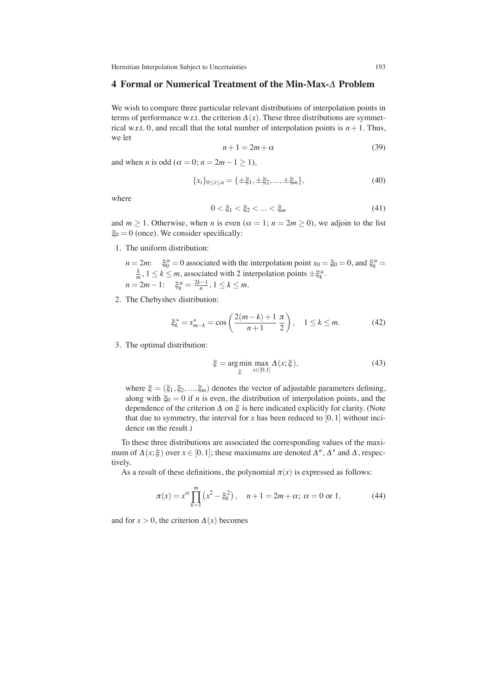### 4 Formal or Numerical Treatment of the Min-Max- $\Delta$  Problem

We wish to compare three particular relevant distributions of interpolation points in terms of performance w.r.t. the criterion  $\Delta(x)$ . These three distributions are symmetrical w.r.t. 0, and recall that the total number of interpolation points is  $n+1$ . Thus, we let

$$
n+1 = 2m + \alpha \tag{39}
$$

and when *n* is odd ( $\alpha = 0$ ;  $n = 2m - 1 \ge 1$ ),

$$
\{x_i\}_{0\leq i\leq n} = \{\pm \xi_1, \pm \xi_2, ..., \pm \xi_m\},\tag{40}
$$

where

$$
0 < \xi_1 < \xi_2 < \dots < \xi_m \tag{41}
$$

and  $m \ge 1$ . Otherwise, when *n* is even  $(\alpha = 1; n = 2m \ge 0)$ , we adjoin to the list  $\xi_0 = 0$  (once). We consider specifically:

1. The uniform distribution:

 $n = 2m$ :  $\xi_0^u = 0$  associated with the interpolation point  $x_0 = \xi_0 = 0$ , and  $\xi_k^u =$  $\frac{k}{m}$ ,  $1 \leq k \leq m$ , associated with 2 interpolation points  $\pm \xi_k^u$ .  $n = 2m - 1$ :  $\xi_k^u = \frac{2k-1}{n}, 1 \le k \le m$ .

2. The Chebyshev distribution:

$$
\xi_k^* = x_{m-k}^* = \cos\left(\frac{2(m-k)+1}{n+1}\frac{\pi}{2}\right), \quad 1 \le k \le m. \tag{42}
$$

3. The optimal distribution:

$$
\xi = \underset{\xi}{\arg\min} \max_{x \in [0,1]} \Delta(x;\xi),\tag{43}
$$

where  $\xi = (\xi_1, \xi_2, ..., \xi_m)$  denotes the vector of adjustable parameters defining, along with  $\xi_0 = 0$  if *n* is even, the distribution of interpolation points, and the dependence of the criterion  $\Delta$  on  $\xi$  is here indicated explicitly for clarity. (Note that due to symmetry, the interval for  $x$  has been reduced to  $[0,1]$  without incidence on the result.)

To these three distributions are associated the corresponding values of the maximum of  $\Delta(x;\xi)$  over  $x \in [0,1]$ ; these maximums are denoted  $\Delta^u$ ,  $\Delta^*$  and  $\Delta$ , respectively.

As a result of these definitions, the polynomial  $\pi(x)$  is expressed as follows:

$$
\pi(x) = x^{\alpha} \prod_{k=1}^{m} (x^2 - \xi_k^2), \quad n+1 = 2m + \alpha; \ \alpha = 0 \text{ or } 1,
$$
 (44)

and for  $x > 0$ , the criterion  $\Delta(x)$  becomes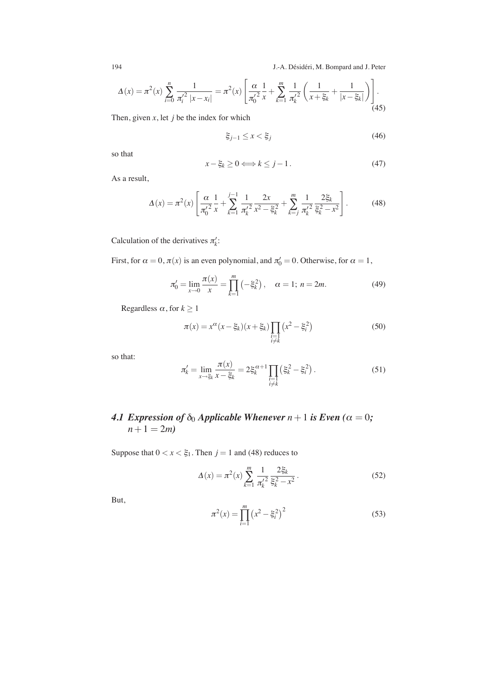$$
\Delta(x) = \pi^2(x) \sum_{i=0}^n \frac{1}{\pi_i'^2 |x - x_i|} = \pi^2(x) \left[ \frac{\alpha}{\pi_0'^2} \frac{1}{x} + \sum_{k=1}^m \frac{1}{\pi_k'^2} \left( \frac{1}{x + \xi_k} + \frac{1}{|x - \xi_k|} \right) \right].
$$
\n(45)

Then, given  $x$ , let  $j$  be the index for which

$$
\xi_{j-1} \le x < \xi_j \tag{46}
$$

so that

$$
x - \xi_k \ge 0 \Longleftrightarrow k \le j - 1. \tag{47}
$$

As a result,

$$
\Delta(x) = \pi^2(x) \left[ \frac{\alpha}{\pi_0'^2} \frac{1}{x} + \sum_{k=1}^{j-1} \frac{1}{\pi_k'^2} \frac{2x}{x^2 - \xi_k^2} + \sum_{k=j}^m \frac{1}{\pi_k'^2} \frac{2\xi_k}{\xi_k^2 - x^2} \right].
$$
 (48)

Calculation of the derivatives  $\pi'_k$ :

First, for  $\alpha = 0$ ,  $\pi(x)$  is an even polynomial, and  $\pi'_0 = 0$ . Otherwise, for  $\alpha = 1$ ,

$$
\pi_0' = \lim_{x \to 0} \frac{\pi(x)}{x} = \prod_{k=1}^m \left( -\xi_k^2 \right), \quad \alpha = 1; n = 2m. \tag{49}
$$

Regardless  $\alpha$ , for  $k \geq 1$ 

$$
\pi(x) = x^{\alpha} (x - \xi_k)(x + \xi_k) \prod_{\substack{i=1 \\ i \neq k}} (x^2 - \xi_i^2)
$$
\n(50)

so that:

$$
\pi'_{k} = \lim_{x \to \xi_{k}} \frac{\pi(x)}{x - \xi_{k}} = 2\xi_{k}^{\alpha+1} \prod_{\substack{i=1 \\ i \neq k}} (\xi_{k}^{2} - \xi_{i}^{2}).
$$
\n(51)

# *4.1 Expression of*  $\delta_0$  *Applicable Whenever*  $n+1$  *is Even* ( $\alpha = 0$ *;*  $n+1 = 2m$

Suppose that  $0 < x < \xi_1$ . Then  $j = 1$  and (48) reduces to

$$
\Delta(x) = \pi^2(x) \sum_{k=1}^{m} \frac{1}{\pi_k'^2} \frac{2\xi_k}{\xi_k^2 - x^2}.
$$
 (52)

But,

$$
\pi^{2}(x) = \prod_{i=1}^{m} (x^{2} - \xi_{i}^{2})^{2}
$$
 (53)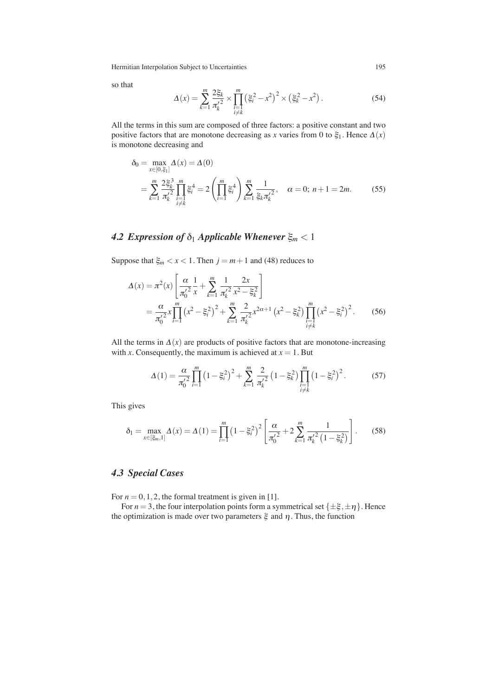so that

$$
\Delta(x) = \sum_{k=1}^{m} \frac{2\xi_k}{\pi_k'^2} \times \prod_{\substack{i=1 \\ i \neq k}}^{m} \left(\xi_i^2 - x^2\right)^2 \times \left(\xi_k^2 - x^2\right). \tag{54}
$$

All the terms in this sum are composed of three factors: a positive constant and two positive factors that are monotone decreasing as *x* varies from 0 to  $\xi_1$ . Hence  $\Delta(x)$ is monotone decreasing and

$$
\delta_0 = \max_{x \in [0, \xi_1]} \Delta(x) = \Delta(0)
$$
  
= 
$$
\sum_{k=1}^m \frac{2\xi_k^3}{\pi_k'^2} \prod_{\substack{i=1 \ i \neq k}}^m \xi_i^4 = 2 \left( \prod_{i=1}^m \xi_i^4 \right) \sum_{k=1}^m \frac{1}{\xi_k \pi_k'^2}, \quad \alpha = 0; n+1 = 2m.
$$
 (55)

# **4.2 Expression of**  $\delta_1$  *Applicable Whenever*  $\xi_m < 1$

Suppose that  $\xi_m < x < 1$ . Then  $j = m + 1$  and (48) reduces to

$$
\Delta(x) = \pi^2(x) \left[ \frac{\alpha}{\pi_0'^2} \frac{1}{x} + \sum_{k=1}^m \frac{1}{\pi_k'^2} \frac{2x}{x^2 - \xi_k^2} \right]
$$
  
= 
$$
\frac{\alpha}{\pi_0'^2} x \prod_{i=1}^m (x^2 - \xi_i^2)^2 + \sum_{k=1}^m \frac{2}{\pi_k'^2} x^{2\alpha+1} (x^2 - \xi_k^2) \prod_{\substack{i=1 \ i \neq k}}^m (x^2 - \xi_i^2)^2.
$$
 (56)

All the terms in  $\Delta(x)$  are products of positive factors that are monotone-increasing with *x*. Consequently, the maximum is achieved at  $x = 1$ . But

$$
\Delta(1) = \frac{\alpha}{\pi_0'^2} \prod_{i=1}^m \left(1 - \xi_i^2\right)^2 + \sum_{k=1}^m \frac{2}{\pi_k'^2} \left(1 - \xi_k^2\right) \prod_{\substack{i=1 \ i \neq k}}^m \left(1 - \xi_i^2\right)^2. \tag{57}
$$

This gives

$$
\delta_1 = \max_{x \in [\xi_m, 1]} \Delta(x) = \Delta(1) = \prod_{i=1}^m \left(1 - \xi_i^2\right)^2 \left[\frac{\alpha}{\pi_0'^2} + 2\sum_{k=1}^m \frac{1}{\pi_k'^2 \left(1 - \xi_k^2\right)}\right].
$$
 (58)

# *4.3 Special Cases*

For  $n = 0, 1, 2$ , the formal treatment is given in [1].

For  $n = 3$ , the four interpolation points form a symmetrical set  $\{\pm \xi, \pm \eta\}$ . Hence the optimization is made over two parameters  $\xi$  and  $\eta$ . Thus, the function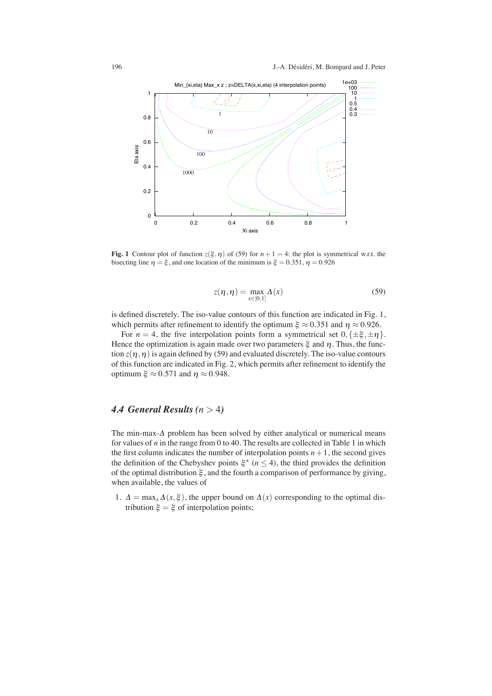

**Fig. 1** Contour plot of function  $z(\xi, \eta)$  of (59) for  $n + 1 = 4$ : the plot is symmetrical w.r.t. the bisecting line  $\eta = \xi$ , and one location of the minimum is  $\xi = 0.351$ ,  $\eta = 0.926$ 

$$
z(\eta, \eta) = \max_{x \in [0,1]} \Delta(x) \tag{59}
$$

is defined discretely. The iso-value contours of this function are indicated in Fig. 1, which permits after refinement to identify the optimum  $\xi \approx 0.351$  and  $\eta \approx 0.926$ .

For  $n = 4$ , the five interpolation points form a symmetrical set  $0, {\pm \xi, \pm \eta}$ . Hence the optimization is again made over two parameters  $\xi$  and  $\eta$ . Thus, the function  $z(\eta,\eta)$  is again defined by (59) and evaluated discretely. The iso-value contours of this function are indicated in Fig. 2, which permits after refinement to identify the optimum  $\xi \approx 0.571$  and  $\eta \approx 0.948$ .

# *4.4 General Results (n* > 4*)*

The min-max- $\Delta$  problem has been solved by either analytical or numerical means for values of *n* in the range from 0 to 40. The results are collected in Table 1 in which the first column indicates the number of interpolation points  $n+1$ , the second gives the definition of the Chebyshev points  $\xi^*(n \leq 4)$ , the third provides the definition of the optimal distribution  $\xi$ , and the fourth a comparison of performance by giving, when available, the values of

1.  $\Delta = \max_{x} \Delta(x, \xi)$ , the upper bound on  $\Delta(x)$  corresponding to the optimal distribution  $\xi = \xi$  of interpolation points;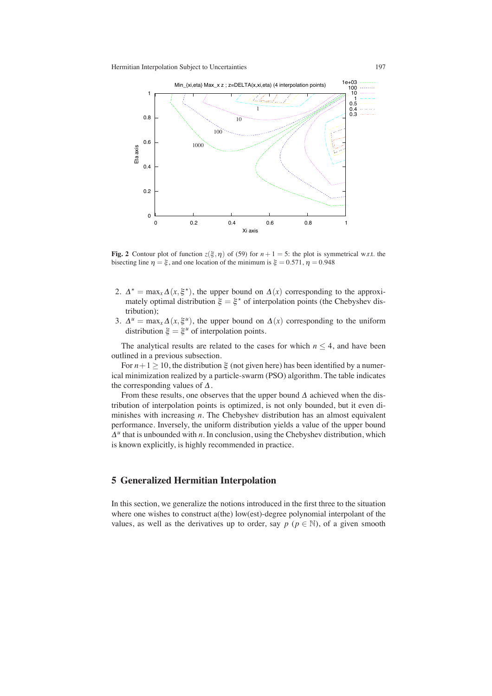

**Fig. 2** Contour plot of function  $z(\xi, \eta)$  of (59) for  $n + 1 = 5$ : the plot is symmetrical w.r.t. the bisecting line  $\eta = \xi$ , and one location of the minimum is  $\xi = 0.571$ ,  $\eta = 0.948$ 

- 2.  $\Delta^* = \max_x \Delta(x, \xi^*)$ , the upper bound on  $\Delta(x)$  corresponding to the approximately optimal distribution  $\xi = \xi^*$  of interpolation points (the Chebyshev distribution);
- 3.  $\Delta^u = \max_x \Delta(x, \xi^u)$ , the upper bound on  $\Delta(x)$  corresponding to the uniform distribution  $\xi = \xi^u$  of interpolation points.

The analytical results are related to the cases for which  $n \leq 4$ , and have been outlined in a previous subsection.

For  $n+1 \ge 10$ , the distribution  $\xi$  (not given here) has been identified by a numerical minimization realized by a particle-swarm (PSO) algorithm. The table indicates the corresponding values of  $\Delta$ .

From these results, one observes that the upper bound  $\Delta$  achieved when the distribution of interpolation points is optimized, is not only bounded, but it even diminishes with increasing *n*. The Chebyshev distribution has an almost equivalent performance. Inversely, the uniform distribution yields a value of the upper bound  $\Delta^{u}$  that is unbounded with *n*. In conclusion, using the Chebyshev distribution, which is known explicitly, is highly recommended in practice.

## **5 Generalized Hermitian Interpolation**

In this section, we generalize the notions introduced in the first three to the situation where one wishes to construct a(the) low(est)-degree polynomial interpolant of the values, as well as the derivatives up to order, say  $p$  ( $p \in \mathbb{N}$ ), of a given smooth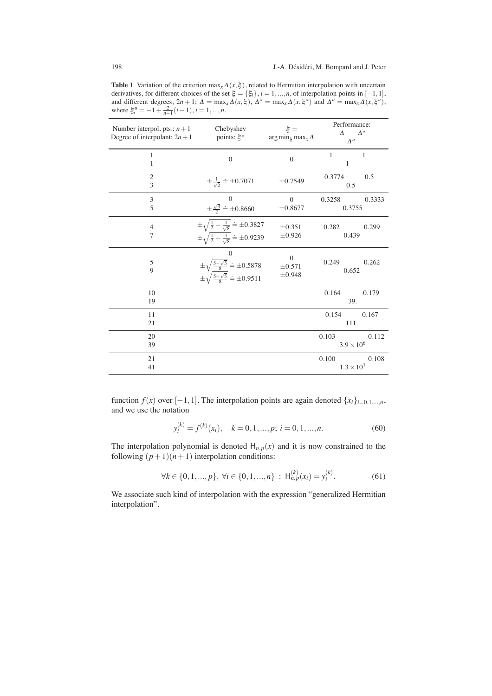**Table 1** Variation of the criterion  $\max_{x} \Delta(x, \xi)$ , related to Hermitian interpolation with uncertain derivatives, for different choices of the set  $\xi = {\xi_i}$ ,  $i = 1,...,n$ , of interpolation points in  $[-1,1]$ ,<br>and different degrees,  $2n + 1$ ;  $\Delta = \max_x \Delta(x,\xi)$ ,  $\Delta^* = \max_x \Delta(x,\xi^*)$  and  $\Delta^u = \max_x \Delta(x,\xi^u)$ , where  $\xi_i^{\mu} = -1 + \frac{2}{n-1}(i-1), i = 1, ..., n$ .

| Number interpol. pts.: $n+1$<br>Degree of interpolant: $2n + 1$ | Chebyshev<br>points: $\xi^*$                                                                                                       | $\xi =$<br>$\arg\min_{\xi} \max_{x} \Delta$ | Performance:<br>$\varDelta^{\star}$<br>$\Lambda$<br>$\Delta^u$ |
|-----------------------------------------------------------------|------------------------------------------------------------------------------------------------------------------------------------|---------------------------------------------|----------------------------------------------------------------|
| 1<br>1                                                          | $\overline{0}$                                                                                                                     | $\overline{0}$                              | $\mathbf{1}$<br>$\mathbf{1}$<br>$\mathbf{1}$                   |
| $\overline{2}$<br>3                                             | $\pm \frac{1}{\sqrt{2}} \doteq \pm 0.7071$                                                                                         | $\pm 0.7549$                                | 0.3774<br>0.5<br>0.5                                           |
| $\mathfrak{Z}$<br>5                                             | $\theta$<br>$\pm \frac{\sqrt{3}}{2} \doteq \pm 0.8660$                                                                             | $\theta$<br>±0.8677                         | 0.3258<br>0.3333<br>0.3755                                     |
| $\overline{4}$<br>$\overline{7}$                                | $\pm \sqrt{\frac{1}{2} - \frac{1}{\sqrt{8}}} \doteq \pm 0.3827$<br>$\pm \sqrt{\frac{1}{2} + \frac{1}{\sqrt{8}}} \doteq \pm 0.9239$ | $\pm 0.351$<br>±0.926                       | 0.282<br>0.299<br>0.439                                        |
| 5<br>$\overline{Q}$                                             | $\mathbf{0}$<br>$\pm\sqrt{\frac{5-\sqrt{5}}{8}} \doteq \pm 0.5878$<br>$\pm\sqrt{\frac{5+\sqrt{5}}{8}} \doteq \pm 0.9511$           | $\mathbf{0}$<br>$\pm 0.571$<br>$\pm 0.948$  | 0.262<br>0.249<br>0.652                                        |
| 10<br>19                                                        |                                                                                                                                    |                                             | 0.164<br>0.179<br>39.                                          |
| 11<br>21                                                        |                                                                                                                                    |                                             | 0.167<br>0.154<br>111.                                         |
| 20<br>39                                                        |                                                                                                                                    |                                             | 0.103<br>0.112<br>$3.9 \times 10^{6}$                          |
| 21<br>41                                                        |                                                                                                                                    |                                             | 0.100<br>0.108<br>$1.3 \times 10^{7}$                          |

function *f*(*x*) over [−1,1]. The interpolation points are again denoted  $\{x_i\}_{i=0,1,...,n}$ , and we use the notation

$$
y_i^{(k)} = f^{(k)}(x_i), \quad k = 0, 1, ..., p; \ i = 0, 1, ..., n.
$$
 (60)

The interpolation polynomial is denoted  $H_{n,p}(x)$  and it is now constrained to the following  $(p+1)(n+1)$  interpolation conditions:

$$
\forall k \in \{0, 1, ..., p\}, \ \forall i \in \{0, 1, ..., n\} \ : \ \mathsf{H}_{n, p}^{(k)}(x_i) = y_i^{(k)}.\tag{61}
$$

We associate such kind of interpolation with the expression "generalized Hermitian interpolation".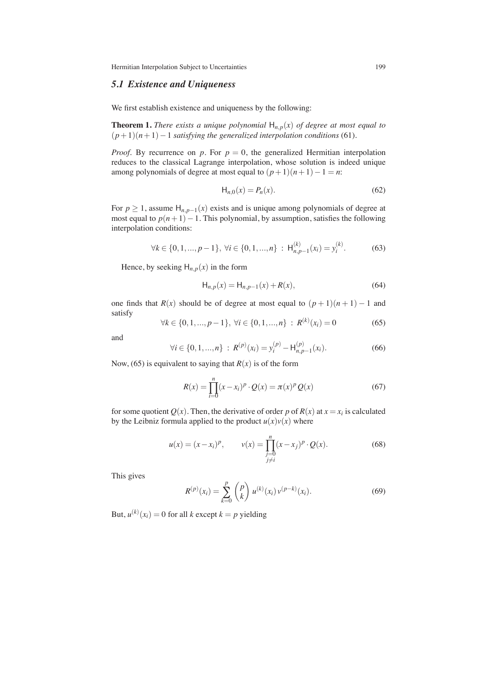## *5.1 Existence and Uniqueness*

We first establish existence and uniqueness by the following:

**Theorem 1.** *There exists a unique polynomial*  $H_{n,p}(x)$  *of degree at most equal to*  $(p+1)(n+1)-1$  *satisfying the generalized interpolation conditions* (61)*.* 

*Proof.* By recurrence on *p*. For  $p = 0$ , the generalized Hermitian interpolation reduces to the classical Lagrange interpolation, whose solution is indeed unique among polynomials of degree at most equal to  $(p+1)(n+1)-1 = n$ :

$$
H_{n,0}(x) = P_n(x).
$$
 (62)

For  $p \ge 1$ , assume  $H_{n,p-1}(x)$  exists and is unique among polynomials of degree at most equal to  $p(n+1)-1$ . This polynomial, by assumption, satisfies the following interpolation conditions:

$$
\forall k \in \{0, 1, ..., p - 1\}, \ \forall i \in \{0, 1, ..., n\} : H_{n, p - 1}^{(k)}(x_i) = y_i^{(k)}.
$$
 (63)

Hence, by seeking  $H_{n,p}(x)$  in the form

$$
H_{n,p}(x) = H_{n,p-1}(x) + R(x),
$$
\n(64)

one finds that  $R(x)$  should be of degree at most equal to  $(p+1)(n+1) - 1$  and satisfy

$$
\forall k \in \{0, 1, ..., p - 1\}, \ \forall i \in \{0, 1, ..., n\} : R^{(k)}(x_i) = 0 \tag{65}
$$

and

$$
\forall i \in \{0, 1, ..., n\} : R^{(p)}(x_i) = y_i^{(p)} - H_{n, p-1}^{(p)}(x_i). \tag{66}
$$

Now, (65) is equivalent to saying that  $R(x)$  is of the form

$$
R(x) = \prod_{i=0}^{n} (x - x_i)^p \cdot Q(x) = \pi(x)^p Q(x)
$$
 (67)

for some quotient  $Q(x)$ . Then, the derivative of order p of  $R(x)$  at  $x = x_i$  is calculated by the Leibniz formula applied to the product  $u(x)v(x)$  where

$$
u(x) = (x - x_i)^p, \qquad v(x) = \prod_{\substack{j=0 \ j \neq i}}^n (x - x_j)^p \cdot Q(x).
$$
 (68)

This gives

$$
R^{(p)}(x_i) = \sum_{k=0}^{p} {p \choose k} u^{(k)}(x_i) v^{(p-k)}(x_i).
$$
 (69)

But,  $u^{(k)}(x_i) = 0$  for all *k* except  $k = p$  yielding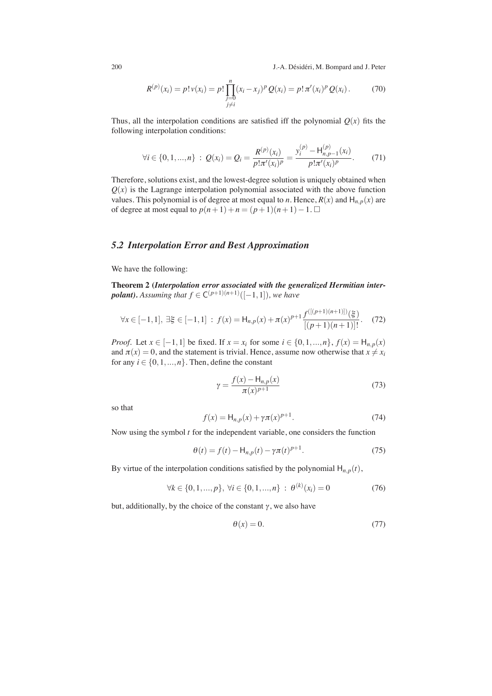$$
R^{(p)}(x_i) = p! \nu(x_i) = p! \prod_{\substack{j=0 \ j \neq i}}^n (x_i - x_j)^p Q(x_i) = p! \pi'(x_i)^p Q(x_i).
$$
 (70)

Thus, all the interpolation conditions are satisfied iff the polynomial  $Q(x)$  fits the following interpolation conditions:

$$
\forall i \in \{0, 1, ..., n\} : Q(x_i) = Q_i = \frac{R^{(p)}(x_i)}{p! \pi'(x_i)^p} = \frac{y_i^{(p)} - H_{n, p-1}^{(p)}(x_i)}{p! \pi'(x_i)^p}.
$$
 (71)

Therefore, solutions exist, and the lowest-degree solution is uniquely obtained when  $Q(x)$  is the Lagrange interpolation polynomial associated with the above function values. This polynomial is of degree at most equal to *n*. Hence,  $R(x)$  and  $H_{n,p}(x)$  are of degree at most equal to  $p(n+1)+n = (p+1)(n+1)-1$ . □

#### *5.2 Interpolation Error and Best Approximation*

We have the following:

**Theorem 2 (***Interpolation error associated with the generalized Hermitian inter-<i>polant*). Assuming that  $f \in C^{(p+1)(n+1)}([-1,1])$ , we have

$$
\forall x \in [-1,1], \exists \xi \in [-1,1] : f(x) = \mathsf{H}_{n,p}(x) + \pi(x)^{p+1} \frac{f^{([p+1)(n+1)])}(\xi)}{[(p+1)(n+1)]!}. \tag{72}
$$

*Proof.* Let  $x \in [-1,1]$  be fixed. If  $x = x_i$  for some  $i \in \{0,1,...,n\}$ ,  $f(x) = H_{n,p}(x)$ and  $\pi(x) = 0$ , and the statement is trivial. Hence, assume now otherwise that  $x \neq x_i$ for any  $i \in \{0, 1, ..., n\}$ . Then, define the constant

$$
\gamma = \frac{f(x) - H_{n,p}(x)}{\pi(x)^{p+1}}
$$
\n(73)

so that

$$
f(x) = H_{n,p}(x) + \gamma \pi(x)^{p+1}.
$$
 (74)

Now using the symbol *t* for the independent variable, one considers the function

$$
\theta(t) = f(t) - H_{n,p}(t) - \gamma \pi(t)^{p+1}.
$$
 (75)

By virtue of the interpolation conditions satisfied by the polynomial  $H_{n,p}(t)$ ,

$$
\forall k \in \{0, 1, ..., p\}, \ \forall i \in \{0, 1, ..., n\} \ : \ \theta^{(k)}(x_i) = 0 \tag{76}
$$

but, additionally, by the choice of the constant  $\gamma$ , we also have

$$
\theta(x) = 0.\tag{77}
$$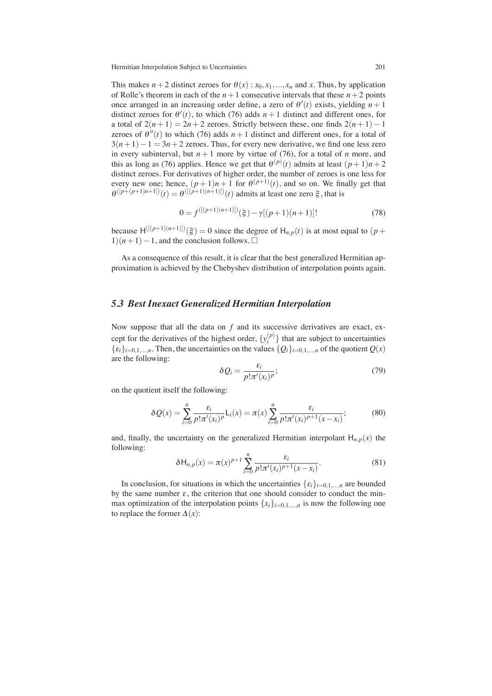This makes  $n+2$  distinct zeroes for  $\theta(x)$ :  $x_0, x_1, ..., x_n$  and *x*. Thus, by application of Rolle's theorem in each of the  $n+1$  consecutive intervals that these  $n+2$  points once arranged in an increasing order define, a zero of  $\theta'(t)$  exists, yielding  $n + 1$ distinct zeroes for  $\theta'(t)$ , to which (76) adds  $n+1$  distinct and different ones, for a total of  $2(n+1) = 2n + 2$  zeroes. Strictly between these, one finds  $2(n+1) - 1$ zeroes of  $\theta''(t)$  to which (76) adds  $n+1$  distinct and different ones, for a total of  $3(n+1)-1 = 3n+2$  zeroes. Thus, for every new derivative, we find one less zero in every subinterval, but  $n+1$  more by virtue of (76), for a total of *n* more, and this as long as (76) applies. Hence we get that  $\theta^{(p)}(t)$  admits at least  $(p+1)n + 2$ distinct zeroes. For derivatives of higher order, the number of zeroes is one less for every new one; hence,  $(p+1)n + 1$  for  $\theta^{(p+1)}(t)$ , and so on. We finally get that  $\theta^{([p+(p+1)n+1])}(t) = \theta^{([p+1)(n+1)]}(t)$  admits at least one zero  $\xi$ , that is

$$
0 = f^{([(p+1)(n+1)])}(\xi) - \gamma[(p+1)(n+1)]! \tag{78}
$$

because  $H^{([p+1)(n+1)]}(\xi) = 0$  since the degree of  $H_{n,p}(t)$  is at most equal to  $(p+1)$  $1(n+1)-1$ , and the conclusion follows.  $\Box$ 

As a consequence of this result, it is clear that the best generalized Hermitian approximation is achieved by the Chebyshev distribution of interpolation points again.

## *5.3 Best Inexact Generalized Hermitian Interpolation*

Now suppose that all the data on *f* and its successive derivatives are exact, except for the derivatives of the highest order,  $\{y_i^{(p)}\}$  $\binom{p}{i}$  that are subject to uncertainties  $\{\varepsilon_i\}_{i=0,1,\dots,n}$ . Then, the uncertainties on the values  $\{Q_i\}_{i=0,1,\dots,n}$  of the quotient  $Q(x)$ are the following:

$$
\delta Q_i = \frac{\varepsilon_i}{p! \pi'(x_i)^p};\tag{79}
$$

on the quotient itself the following:

$$
\delta Q(x) = \sum_{i=0}^{n} \frac{\varepsilon_i}{p! \pi'(x_i)^p} \mathsf{L}_i(x) = \pi(x) \sum_{i=0}^{n} \frac{\varepsilon_i}{p! \pi'(x_i)^{p+1}(x - x_i)};
$$
(80)

and, finally, the uncertainty on the generalized Hermitian interpolant  $H_{n,p}(x)$  the following:

$$
\delta H_{n,p}(x) = \pi(x)^{p+1} \sum_{i=0}^{n} \frac{\varepsilon_i}{p! \pi'(x_i)^{p+1}(x - x_i)}.
$$
\n(81)

In conclusion, for situations in which the uncertainties  $\{\varepsilon_i\}_{i=0,1,\dots,n}$  are bounded by the same number  $\varepsilon$ , the criterion that one should consider to conduct the minmax optimization of the interpolation points  $\{x_i\}_{i=0,1,\dots,n}$  is now the following one to replace the former  $\Delta(x)$ :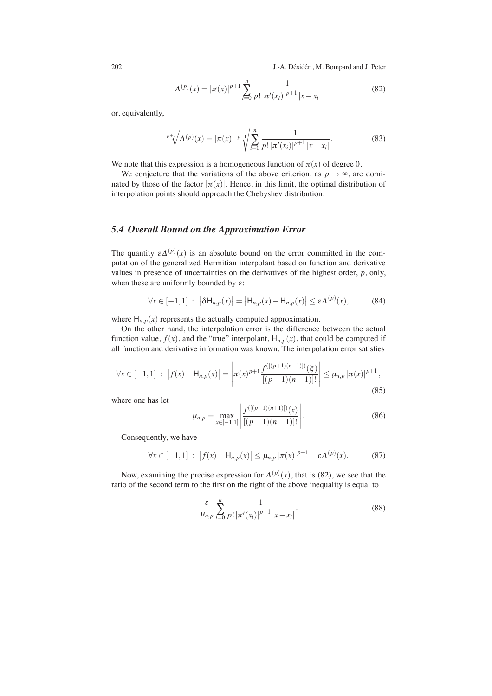$$
\Delta^{(p)}(x) = |\pi(x)|^{p+1} \sum_{i=0}^{n} \frac{1}{p! |\pi'(x_i)|^{p+1} |x - x_i|}
$$
(82)

or, equivalently,

$$
\sqrt[p+1]{\Delta(p)(x)} = |\pi(x)| \sqrt[p+1]{\sum_{i=0}^{n} \frac{1}{p! |\pi'(x_i)|^{p+1} |x - x_i|}}.
$$
 (83)

We note that this expression is a homogeneous function of  $\pi(x)$  of degree 0.

We conjecture that the variations of the above criterion, as  $p \to \infty$ , are dominated by those of the factor  $|\pi(x)|$ . Hence, in this limit, the optimal distribution of interpolation points should approach the Chebyshev distribution.

#### *5.4 Overall Bound on the Approximation Error*

The quantity  $\varepsilon \Delta^{(p)}(x)$  is an absolute bound on the error committed in the computation of the generalized Hermitian interpolant based on function and derivative values in presence of uncertainties on the derivatives of the highest order, *p*, only, when these are uniformly bounded by  $\varepsilon$ :

$$
\forall x \in [-1,1] : |\delta \mathsf{H}_{n,p}(x)| = |\mathsf{H}_{n,p}(x) - \mathsf{H}_{n,p}(x)| \le \varepsilon \Delta^{(p)}(x), \tag{84}
$$

where  $H_{n,p}(x)$  represents the actually computed approximation.

On the other hand, the interpolation error is the difference between the actual function value,  $f(x)$ , and the "true" interpolant,  $H_{n,p}(x)$ , that could be computed if all function and derivative information was known. The interpolation error satisfies

$$
\forall x \in [-1,1] : |f(x) - H_{n,p}(x)| = \left| \pi(x)^{p+1} \frac{f^{([(p+1)(n+1)])}(\xi)}{[(p+1)(n+1)]!} \right| \le \mu_{n,p} |\pi(x)|^{p+1}, \tag{85}
$$

where one has let

$$
\mu_{n,p} = \max_{x \in [-1,1]} \left| \frac{f^{([(p+1)(n+1)])}(x)}{[(p+1)(n+1)]!} \right|.
$$
\n(86)

Consequently, we have

$$
\forall x \in [-1,1] : |f(x) - H_{n,p}(x)| \le \mu_{n,p} |\pi(x)|^{p+1} + \varepsilon \Delta^{(p)}(x). \tag{87}
$$

Now, examining the precise expression for  $\Delta^{(p)}(x)$ , that is (82), we see that the ratio of the second term to the first on the right of the above inequality is equal to

$$
\frac{\varepsilon}{\mu_{n,p}} \sum_{i=0}^{n} \frac{1}{p! \, |\pi'(x_i)|^{p+1} \, |x-x_i|}.
$$
\n(88)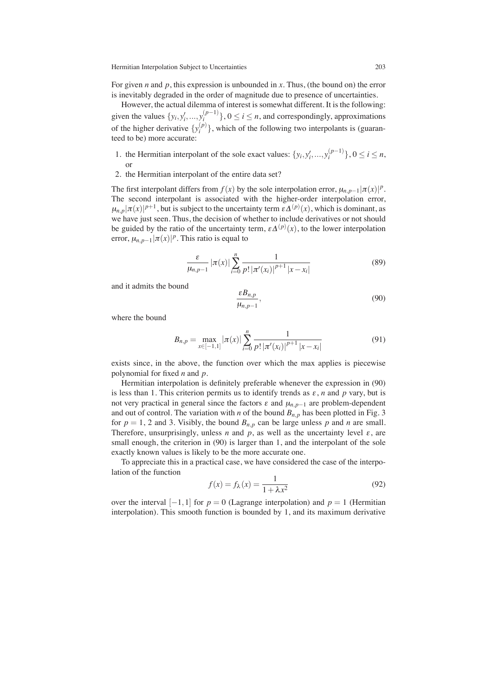For given *n* and *p*, this expression is unbounded in *x*. Thus, (the bound on) the error is inevitably degraded in the order of magnitude due to presence of uncertainties.

However, the actual dilemma of interest is somewhat different. It is the following: given the values  $\{y_i, y'_i, ..., y_i^{(p-1)}\}$ ,  $0 \le i \le n$ , and correspondingly, approximations of the higher derivative  $\{y_i^{(p)}\}$  $\binom{p}{i}$ , which of the following two interpolants is (guaranteed to be) more accurate:

- 1. the Hermitian interpolant of the sole exact values:  $\{y_i, y'_i, ..., y_i^{(p-1)}\}$ ,  $0 \le i \le n$ , or
- 2. the Hermitian interpolant of the entire data set?

The first interpolant differs from  $f(x)$  by the sole interpolation error,  $\mu_{n,p-1}|\pi(x)|^p$ . The second interpolant is associated with the higher-order interpolation error,  $\mu_{n,p}|\pi(x)|^{p+1}$ , but is subject to the uncertainty term  $\varepsilon\Delta^{(p)}(x)$ , which is dominant, as we have just seen. Thus, the decision of whether to include derivatives or not should be guided by the ratio of the uncertainty term,  $\varepsilon \Delta^{(p)}(x)$ , to the lower interpolation error,  $\mu_{n,p-1}|\pi(x)|^p$ . This ratio is equal to

$$
\frac{\varepsilon}{\mu_{n,p-1}} |\pi(x)| \sum_{i=0}^{n} \frac{1}{p! |\pi'(x_i)|^{p+1} |x - x_i|}
$$
(89)

and it admits the bound

$$
\frac{\varepsilon B_{n,p}}{\mu_{n,p-1}},\tag{90}
$$

where the bound

$$
B_{n,p} = \max_{x \in [-1,1]} |\pi(x)| \sum_{i=0}^{n} \frac{1}{p! |\pi'(x_i)|^{p+1} |x - x_i|}
$$
(91)

exists since, in the above, the function over which the max applies is piecewise polynomial for fixed *n* and *p*.

Hermitian interpolation is definitely preferable whenever the expression in (90) is less than 1. This criterion permits us to identify trends as  $\varepsilon$ , *n* and *p* vary, but is not very practical in general since the factors  $\varepsilon$  and  $\mu_{n,p-1}$  are problem-dependent and out of control. The variation with *n* of the bound  $B_{n,p}$  has been plotted in Fig. 3 for  $p = 1, 2$  and 3. Visibly, the bound  $B_{n,p}$  can be large unless p and n are small. Therefore, unsurprisingly, unless *n* and  $p$ , as well as the uncertainty level  $\varepsilon$ , are small enough, the criterion in  $(90)$  is larger than 1, and the interpolant of the sole exactly known values is likely to be the more accurate one.

To appreciate this in a practical case, we have considered the case of the interpolation of the function

$$
f(x) = f_{\lambda}(x) = \frac{1}{1 + \lambda x^2}
$$
\n(92)

over the interval  $[-1,1]$  for  $p = 0$  (Lagrange interpolation) and  $p = 1$  (Hermitian interpolation). This smooth function is bounded by 1, and its maximum derivative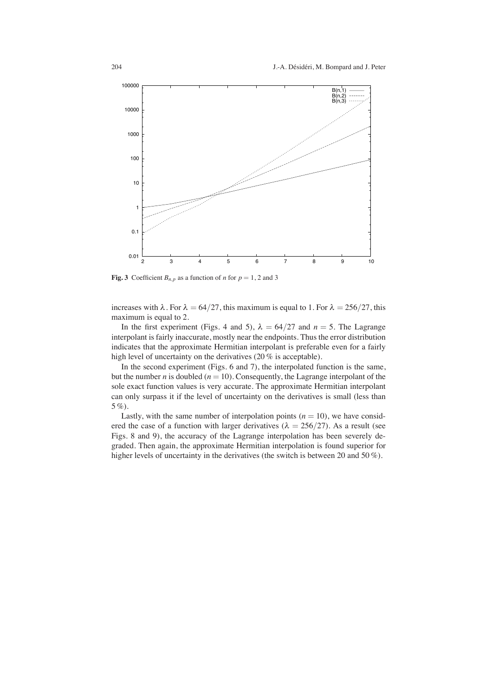

**Fig. 3** Coefficient  $B_{n,p}$  as a function of *n* for  $p = 1, 2$  and 3

increases with  $\lambda$ . For  $\lambda = 64/27$ , this maximum is equal to 1. For  $\lambda = 256/27$ , this maximum is equal to 2.

In the first experiment (Figs. 4 and 5),  $\lambda = 64/27$  and  $n = 5$ . The Lagrange interpolant is fairly inaccurate, mostly near the endpoints. Thus the error distribution indicates that the approximate Hermitian interpolant is preferable even for a fairly high level of uncertainty on the derivatives (20 % is acceptable).

In the second experiment (Figs. 6 and 7), the interpolated function is the same, but the number *n* is doubled  $(n = 10)$ . Consequently, the Lagrange interpolant of the sole exact function values is very accurate. The approximate Hermitian interpolant can only surpass it if the level of uncertainty on the derivatives is small (less than 5 %).

Lastly, with the same number of interpolation points  $(n = 10)$ , we have considered the case of a function with larger derivatives ( $\lambda = 256/27$ ). As a result (see Figs. 8 and 9), the accuracy of the Lagrange interpolation has been severely degraded. Then again, the approximate Hermitian interpolation is found superior for higher levels of uncertainty in the derivatives (the switch is between 20 and 50%).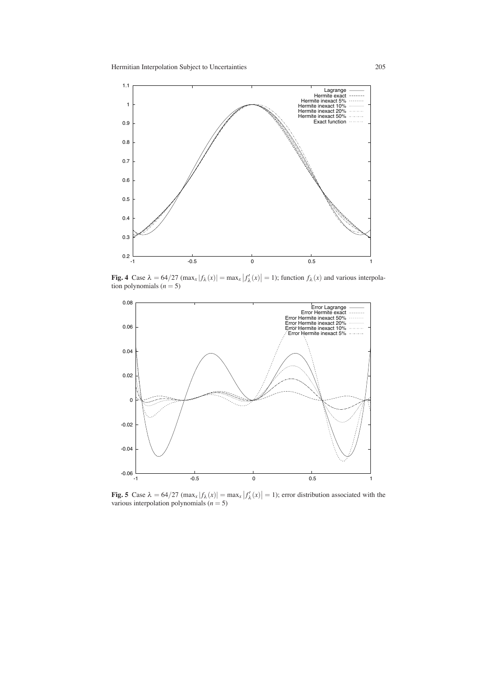

**Fig. 4** Case  $\lambda = 64/27$  (max<sub>*x*</sub>  $|f_{\lambda}(x)| = \max_{x} |f'_{\lambda}(x)| = 1$ ); function  $f_{\lambda}(x)$  and various interpolation polynomials  $(n = 5)$ 



**Fig. 5** Case  $\lambda = 64/27 \text{ (max}_x |f_\lambda(x)| = \max_x |f'_\lambda(x)| = 1$ ; error distribution associated with the various interpolation polynomials (*n* = 5)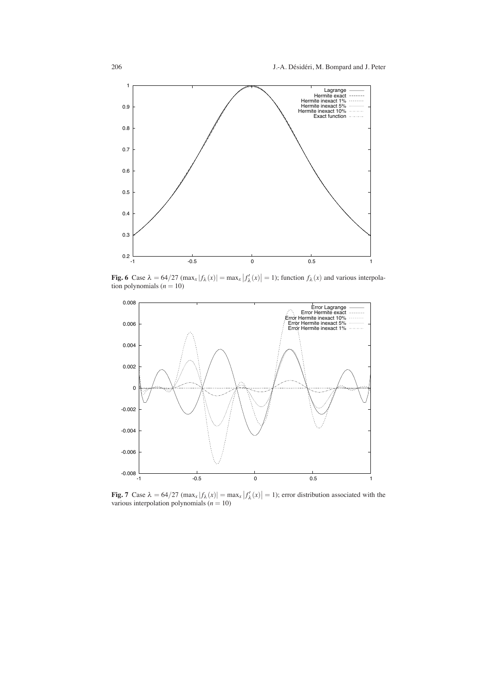

**Fig. 6** Case  $\lambda = 64/27 \text{ (max}_x | f_\lambda(x) | = \max_x |f'_\lambda(x)| = 1$ ; function  $f_\lambda(x)$  and various interpolation polynomials  $(n = 10)$ 



**Fig. 7** Case  $\lambda = 64/27 \left( \max_x |f_\lambda(x)| \right) = \max_x |f'_\lambda(x)| = 1$ ; error distribution associated with the various interpolation polynomials  $(n = 10)$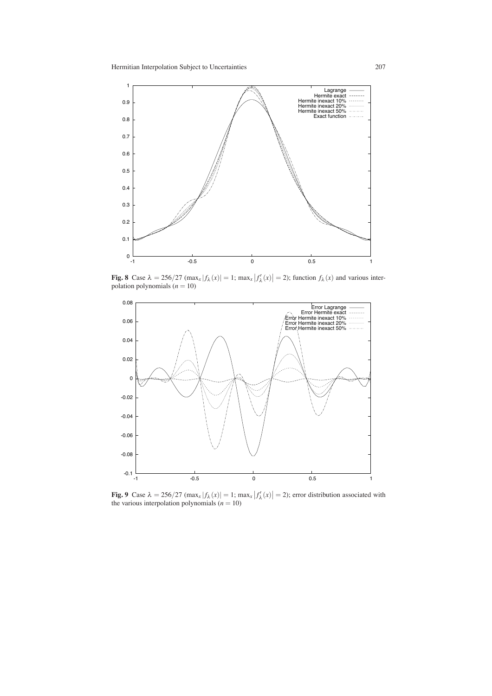

**Fig. 8** Case  $\lambda = 256/27 \text{ (max}_x | f_\lambda(x)| = 1$ ;  $\max_x |f'_\lambda(x)| = 2$ ); function  $f_\lambda(x)$  and various interpolation polynomials (*n* = 10)



**Fig. 9** Case  $\lambda = 256/27 \text{ (max}_x | f_\lambda(x)| = 1; \text{max}_x | f'_\lambda(x)| = 2$ ; error distribution associated with the various interpolation polynomials  $(n = 10)$